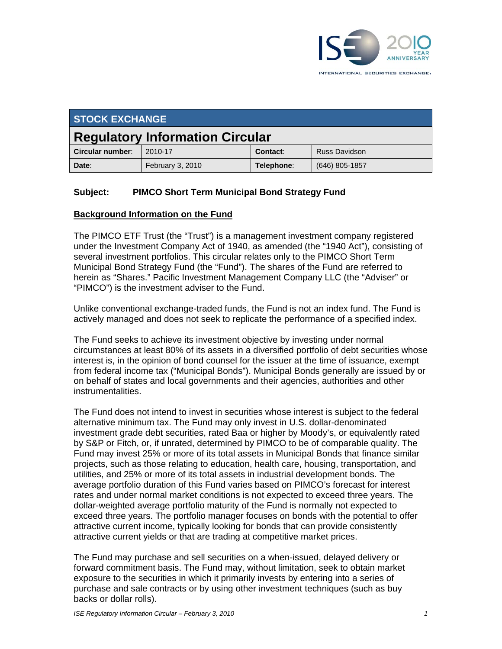

| <b>STOCK EXCHANGE</b>                  |                  |            |                      |  |
|----------------------------------------|------------------|------------|----------------------|--|
| <b>Regulatory Information Circular</b> |                  |            |                      |  |
| Circular number:                       | 2010-17          | Contact:   | <b>Russ Davidson</b> |  |
| Date:                                  | February 3, 2010 | Telephone: | $(646)$ 805-1857     |  |

### **Subject: PIMCO Short Term Municipal Bond Strategy Fund**

### **Background Information on the Fund**

The PIMCO ETF Trust (the "Trust") is a management investment company registered under the Investment Company Act of 1940, as amended (the "1940 Act"), consisting of several investment portfolios. This circular relates only to the PIMCO Short Term Municipal Bond Strategy Fund (the "Fund"). The shares of the Fund are referred to herein as "Shares." Pacific Investment Management Company LLC (the "Adviser" or "PIMCO") is the investment adviser to the Fund.

Unlike conventional exchange-traded funds, the Fund is not an index fund. The Fund is actively managed and does not seek to replicate the performance of a specified index.

The Fund seeks to achieve its investment objective by investing under normal circumstances at least 80% of its assets in a diversified portfolio of debt securities whose interest is, in the opinion of bond counsel for the issuer at the time of issuance, exempt from federal income tax ("Municipal Bonds"). Municipal Bonds generally are issued by or on behalf of states and local governments and their agencies, authorities and other instrumentalities.

The Fund does not intend to invest in securities whose interest is subject to the federal alternative minimum tax. The Fund may only invest in U.S. dollar-denominated investment grade debt securities, rated Baa or higher by Moody's, or equivalently rated by S&P or Fitch, or, if unrated, determined by PIMCO to be of comparable quality. The Fund may invest 25% or more of its total assets in Municipal Bonds that finance similar projects, such as those relating to education, health care, housing, transportation, and utilities, and 25% or more of its total assets in industrial development bonds. The average portfolio duration of this Fund varies based on PIMCO's forecast for interest rates and under normal market conditions is not expected to exceed three years. The dollar-weighted average portfolio maturity of the Fund is normally not expected to exceed three years. The portfolio manager focuses on bonds with the potential to offer attractive current income, typically looking for bonds that can provide consistently attractive current yields or that are trading at competitive market prices.

The Fund may purchase and sell securities on a when-issued, delayed delivery or forward commitment basis. The Fund may, without limitation, seek to obtain market exposure to the securities in which it primarily invests by entering into a series of purchase and sale contracts or by using other investment techniques (such as buy backs or dollar rolls).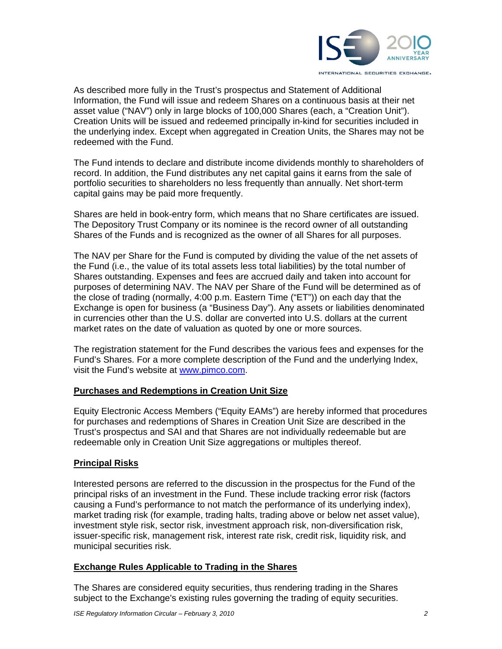

As described more fully in the Trust's prospectus and Statement of Additional Information, the Fund will issue and redeem Shares on a continuous basis at their net asset value ("NAV") only in large blocks of 100,000 Shares (each, a "Creation Unit"). Creation Units will be issued and redeemed principally in-kind for securities included in the underlying index. Except when aggregated in Creation Units, the Shares may not be redeemed with the Fund.

The Fund intends to declare and distribute income dividends monthly to shareholders of record. In addition, the Fund distributes any net capital gains it earns from the sale of portfolio securities to shareholders no less frequently than annually. Net short-term capital gains may be paid more frequently.

Shares are held in book-entry form, which means that no Share certificates are issued. The Depository Trust Company or its nominee is the record owner of all outstanding Shares of the Funds and is recognized as the owner of all Shares for all purposes.

The NAV per Share for the Fund is computed by dividing the value of the net assets of the Fund (i.e., the value of its total assets less total liabilities) by the total number of Shares outstanding. Expenses and fees are accrued daily and taken into account for purposes of determining NAV. The NAV per Share of the Fund will be determined as of the close of trading (normally, 4:00 p.m. Eastern Time ("ET")) on each day that the Exchange is open for business (a "Business Day"). Any assets or liabilities denominated in currencies other than the U.S. dollar are converted into U.S. dollars at the current market rates on the date of valuation as quoted by one or more sources.

The registration statement for the Fund describes the various fees and expenses for the Fund's Shares. For a more complete description of the Fund and the underlying Index, visit the Fund's website at www.pimco.com.

### **Purchases and Redemptions in Creation Unit Size**

Equity Electronic Access Members ("Equity EAMs") are hereby informed that procedures for purchases and redemptions of Shares in Creation Unit Size are described in the Trust's prospectus and SAI and that Shares are not individually redeemable but are redeemable only in Creation Unit Size aggregations or multiples thereof.

### **Principal Risks**

Interested persons are referred to the discussion in the prospectus for the Fund of the principal risks of an investment in the Fund. These include tracking error risk (factors causing a Fund's performance to not match the performance of its underlying index), market trading risk (for example, trading halts, trading above or below net asset value), investment style risk, sector risk, investment approach risk, non-diversification risk, issuer-specific risk, management risk, interest rate risk, credit risk, liquidity risk, and municipal securities risk.

### **Exchange Rules Applicable to Trading in the Shares**

The Shares are considered equity securities, thus rendering trading in the Shares subject to the Exchange's existing rules governing the trading of equity securities.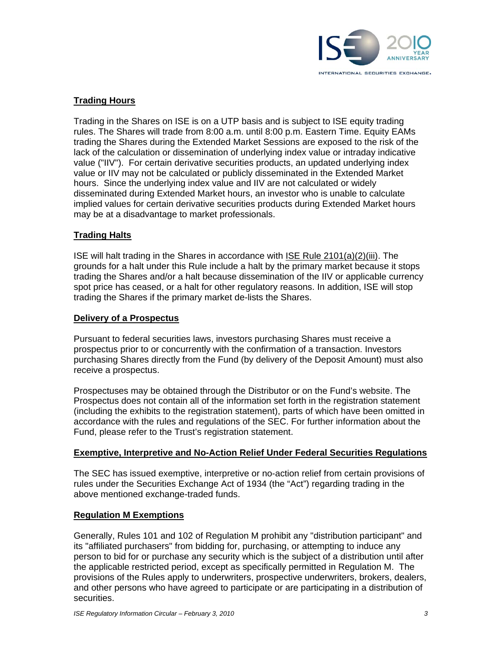

## **Trading Hours**

Trading in the Shares on ISE is on a UTP basis and is subject to ISE equity trading rules. The Shares will trade from 8:00 a.m. until 8:00 p.m. Eastern Time. Equity EAMs trading the Shares during the Extended Market Sessions are exposed to the risk of the lack of the calculation or dissemination of underlying index value or intraday indicative value ("IIV"). For certain derivative securities products, an updated underlying index value or IIV may not be calculated or publicly disseminated in the Extended Market hours. Since the underlying index value and IIV are not calculated or widely disseminated during Extended Market hours, an investor who is unable to calculate implied values for certain derivative securities products during Extended Market hours may be at a disadvantage to market professionals.

### **Trading Halts**

ISE will halt trading in the Shares in accordance with ISE Rule 2101(a)(2)(iii). The grounds for a halt under this Rule include a halt by the primary market because it stops trading the Shares and/or a halt because dissemination of the IIV or applicable currency spot price has ceased, or a halt for other regulatory reasons. In addition, ISE will stop trading the Shares if the primary market de-lists the Shares.

#### **Delivery of a Prospectus**

Pursuant to federal securities laws, investors purchasing Shares must receive a prospectus prior to or concurrently with the confirmation of a transaction. Investors purchasing Shares directly from the Fund (by delivery of the Deposit Amount) must also receive a prospectus.

Prospectuses may be obtained through the Distributor or on the Fund's website. The Prospectus does not contain all of the information set forth in the registration statement (including the exhibits to the registration statement), parts of which have been omitted in accordance with the rules and regulations of the SEC. For further information about the Fund, please refer to the Trust's registration statement.

#### **Exemptive, Interpretive and No-Action Relief Under Federal Securities Regulations**

The SEC has issued exemptive, interpretive or no-action relief from certain provisions of rules under the Securities Exchange Act of 1934 (the "Act") regarding trading in the above mentioned exchange-traded funds.

#### **Regulation M Exemptions**

Generally, Rules 101 and 102 of Regulation M prohibit any "distribution participant" and its "affiliated purchasers" from bidding for, purchasing, or attempting to induce any person to bid for or purchase any security which is the subject of a distribution until after the applicable restricted period, except as specifically permitted in Regulation M. The provisions of the Rules apply to underwriters, prospective underwriters, brokers, dealers, and other persons who have agreed to participate or are participating in a distribution of securities.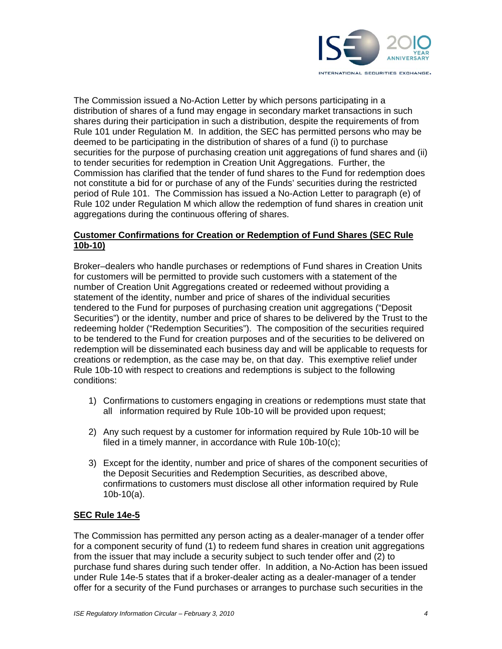

The Commission issued a No-Action Letter by which persons participating in a distribution of shares of a fund may engage in secondary market transactions in such shares during their participation in such a distribution, despite the requirements of from Rule 101 under Regulation M. In addition, the SEC has permitted persons who may be deemed to be participating in the distribution of shares of a fund (i) to purchase securities for the purpose of purchasing creation unit aggregations of fund shares and (ii) to tender securities for redemption in Creation Unit Aggregations. Further, the Commission has clarified that the tender of fund shares to the Fund for redemption does not constitute a bid for or purchase of any of the Funds' securities during the restricted period of Rule 101. The Commission has issued a No-Action Letter to paragraph (e) of Rule 102 under Regulation M which allow the redemption of fund shares in creation unit aggregations during the continuous offering of shares.

### **Customer Confirmations for Creation or Redemption of Fund Shares (SEC Rule 10b-10)**

Broker–dealers who handle purchases or redemptions of Fund shares in Creation Units for customers will be permitted to provide such customers with a statement of the number of Creation Unit Aggregations created or redeemed without providing a statement of the identity, number and price of shares of the individual securities tendered to the Fund for purposes of purchasing creation unit aggregations ("Deposit Securities") or the identity, number and price of shares to be delivered by the Trust to the redeeming holder ("Redemption Securities"). The composition of the securities required to be tendered to the Fund for creation purposes and of the securities to be delivered on redemption will be disseminated each business day and will be applicable to requests for creations or redemption, as the case may be, on that day. This exemptive relief under Rule 10b-10 with respect to creations and redemptions is subject to the following conditions:

- 1) Confirmations to customers engaging in creations or redemptions must state that all information required by Rule 10b-10 will be provided upon request;
- 2) Any such request by a customer for information required by Rule 10b-10 will be filed in a timely manner, in accordance with Rule 10b-10(c);
- 3) Except for the identity, number and price of shares of the component securities of the Deposit Securities and Redemption Securities, as described above, confirmations to customers must disclose all other information required by Rule 10b-10(a).

### **SEC Rule 14e-5**

The Commission has permitted any person acting as a dealer-manager of a tender offer for a component security of fund (1) to redeem fund shares in creation unit aggregations from the issuer that may include a security subject to such tender offer and (2) to purchase fund shares during such tender offer. In addition, a No-Action has been issued under Rule 14e-5 states that if a broker-dealer acting as a dealer-manager of a tender offer for a security of the Fund purchases or arranges to purchase such securities in the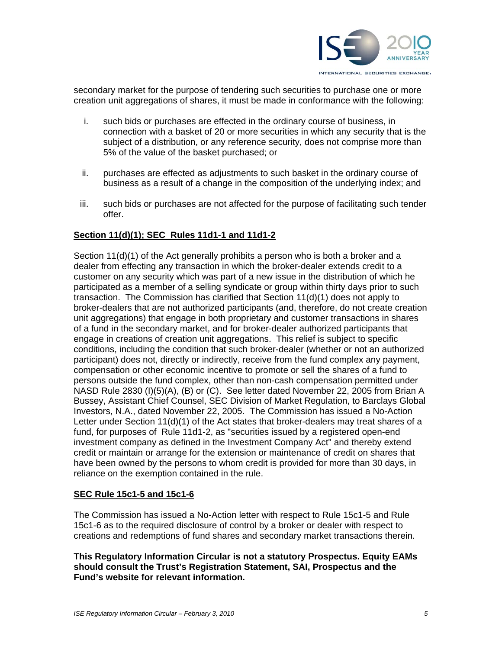

secondary market for the purpose of tendering such securities to purchase one or more creation unit aggregations of shares, it must be made in conformance with the following:

- i. such bids or purchases are effected in the ordinary course of business, in connection with a basket of 20 or more securities in which any security that is the subject of a distribution, or any reference security, does not comprise more than 5% of the value of the basket purchased; or
- ii. purchases are effected as adjustments to such basket in the ordinary course of business as a result of a change in the composition of the underlying index; and
- iii. such bids or purchases are not affected for the purpose of facilitating such tender offer.

### **Section 11(d)(1); SEC Rules 11d1-1 and 11d1-2**

Section 11(d)(1) of the Act generally prohibits a person who is both a broker and a dealer from effecting any transaction in which the broker-dealer extends credit to a customer on any security which was part of a new issue in the distribution of which he participated as a member of a selling syndicate or group within thirty days prior to such transaction. The Commission has clarified that Section 11(d)(1) does not apply to broker-dealers that are not authorized participants (and, therefore, do not create creation unit aggregations) that engage in both proprietary and customer transactions in shares of a fund in the secondary market, and for broker-dealer authorized participants that engage in creations of creation unit aggregations. This relief is subject to specific conditions, including the condition that such broker-dealer (whether or not an authorized participant) does not, directly or indirectly, receive from the fund complex any payment, compensation or other economic incentive to promote or sell the shares of a fund to persons outside the fund complex, other than non-cash compensation permitted under NASD Rule 2830 (I)(5)(A), (B) or (C). See letter dated November 22, 2005 from Brian A Bussey, Assistant Chief Counsel, SEC Division of Market Regulation, to Barclays Global Investors, N.A., dated November 22, 2005. The Commission has issued a No-Action Letter under Section 11(d)(1) of the Act states that broker-dealers may treat shares of a fund, for purposes of Rule 11d1-2, as "securities issued by a registered open-end investment company as defined in the Investment Company Act" and thereby extend credit or maintain or arrange for the extension or maintenance of credit on shares that have been owned by the persons to whom credit is provided for more than 30 days, in reliance on the exemption contained in the rule.

### **SEC Rule 15c1-5 and 15c1-6**

The Commission has issued a No-Action letter with respect to Rule 15c1-5 and Rule 15c1-6 as to the required disclosure of control by a broker or dealer with respect to creations and redemptions of fund shares and secondary market transactions therein.

**This Regulatory Information Circular is not a statutory Prospectus. Equity EAMs should consult the Trust's Registration Statement, SAI, Prospectus and the Fund's website for relevant information.**